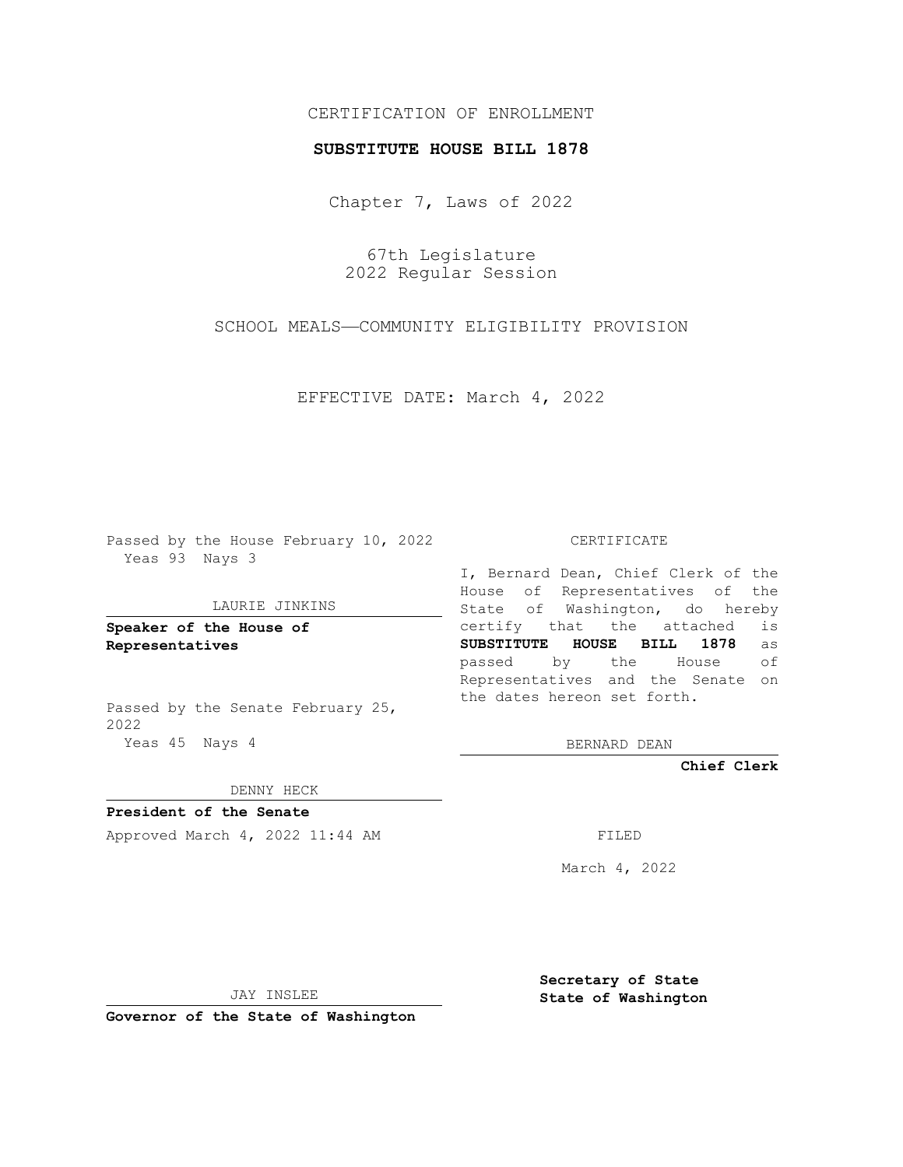# CERTIFICATION OF ENROLLMENT

### **SUBSTITUTE HOUSE BILL 1878**

Chapter 7, Laws of 2022

67th Legislature 2022 Regular Session

SCHOOL MEALS—COMMUNITY ELIGIBILITY PROVISION

EFFECTIVE DATE: March 4, 2022

Passed by the House February 10, 2022 Yeas 93 Nays 3

### LAURIE JINKINS

**Speaker of the House of Representatives**

Passed by the Senate February 25, 2022 Yeas 45 Nays 4

#### CERTIFICATE

I, Bernard Dean, Chief Clerk of the House of Representatives of the State of Washington, do hereby certify that the attached is **SUBSTITUTE HOUSE BILL 1878** as passed by the House of Representatives and the Senate on the dates hereon set forth.

BERNARD DEAN

**Chief Clerk**

DENNY HECK

**President of the Senate**

Approved March 4, 2022 11:44 AM

March 4, 2022

JAY INSLEE

**Governor of the State of Washington**

**Secretary of State State of Washington**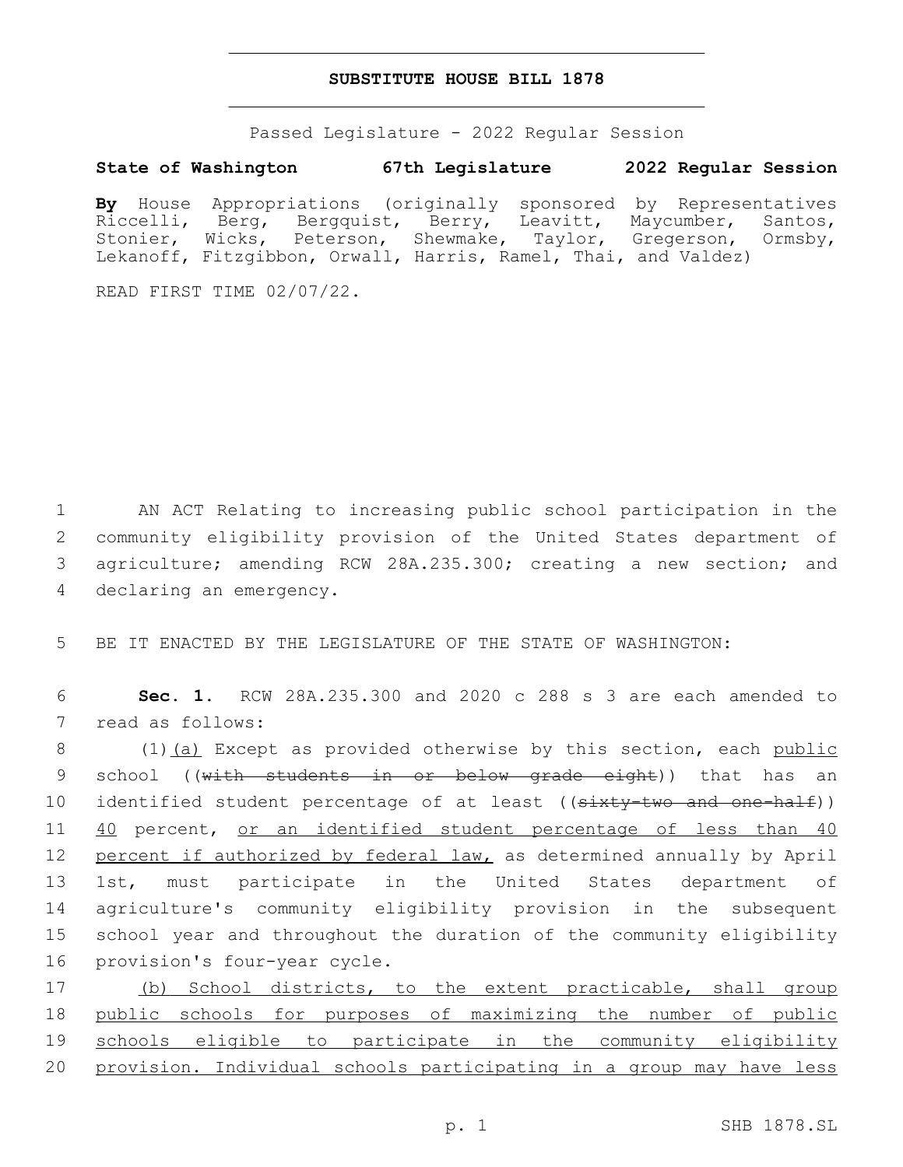## **SUBSTITUTE HOUSE BILL 1878**

Passed Legislature - 2022 Regular Session

# **State of Washington 67th Legislature 2022 Regular Session**

**By** House Appropriations (originally sponsored by Representatives Riccelli, Berg, Bergquist, Berry, Leavitt, Maycumber, Santos, Stonier, Wicks, Peterson, Shewmake, Taylor, Gregerson, Ormsby, Lekanoff, Fitzgibbon, Orwall, Harris, Ramel, Thai, and Valdez)

READ FIRST TIME 02/07/22.

 AN ACT Relating to increasing public school participation in the community eligibility provision of the United States department of agriculture; amending RCW 28A.235.300; creating a new section; and 4 declaring an emergency.

5 BE IT ENACTED BY THE LEGISLATURE OF THE STATE OF WASHINGTON:

6 **Sec. 1.** RCW 28A.235.300 and 2020 c 288 s 3 are each amended to 7 read as follows:

8 (1)(a) Except as provided otherwise by this section, each public 9 school ((with students in or below grade eight)) that has an 10 identified student percentage of at least ((sixty-two and one-half)) 11 40 percent, or an identified student percentage of less than 40 12 percent if authorized by federal law, as determined annually by April 13 1st, must participate in the United States department of 14 agriculture's community eligibility provision in the subsequent 15 school year and throughout the duration of the community eligibility 16 provision's four-year cycle.

17 (b) School districts, to the extent practicable, shall group public schools for purposes of maximizing the number of public schools eligible to participate in the community eligibility provision. Individual schools participating in a group may have less